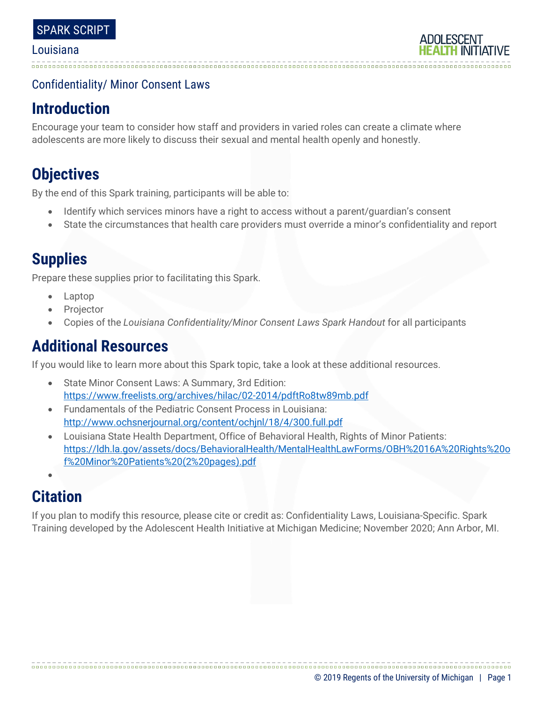### Confidentiality/ Minor Consent Laws

# **Introduction**

Encourage your team to consider how staff and providers in varied roles can create a climate where adolescents are more likely to discuss their sexual and mental health openly and honestly.

# **Objectives**

By the end of this Spark training, participants will be able to:

- Identify which services minors have a right to access without a parent/guardian's consent
- State the circumstances that health care providers must override a minor's confidentiality and report

# **Supplies**

Prepare these supplies prior to facilitating this Spark.

- Laptop
- **Projector**
- Copies of the *Louisiana Confidentiality/Minor Consent Laws Spark Handout* for all participants

# **Additional Resources**

If you would like to learn more about this Spark topic, take a look at these additional resources.

- State Minor Consent Laws: A Summary, 3rd Edition: <https://www.freelists.org/archives/hilac/02-2014/pdftRo8tw89mb.pdf>
- Fundamentals of the Pediatric Consent Process in Louisiana: <http://www.ochsnerjournal.org/content/ochjnl/18/4/300.full.pdf>
- Louisiana State Health Department, Office of Behavioral Health, Rights of Minor Patients: [https://ldh.la.gov/assets/docs/BehavioralHealth/MentalHealthLawForms/OBH%2016A%20Rights%20o](https://ldh.la.gov/assets/docs/BehavioralHealth/MentalHealthLawForms/OBH%2016A%20Rights%20of%20Minor%20Patients%20(2%20pages).pdf) [f%20Minor%20Patients%20\(2%20pages\).pdf](https://ldh.la.gov/assets/docs/BehavioralHealth/MentalHealthLawForms/OBH%2016A%20Rights%20of%20Minor%20Patients%20(2%20pages).pdf)
- •

# **Citation**

If you plan to modify this resource, please cite or credit as: Confidentiality Laws, Louisiana-Specific. Spark Training developed by the Adolescent Health Initiative at Michigan Medicine; November 2020; Ann Arbor, MI.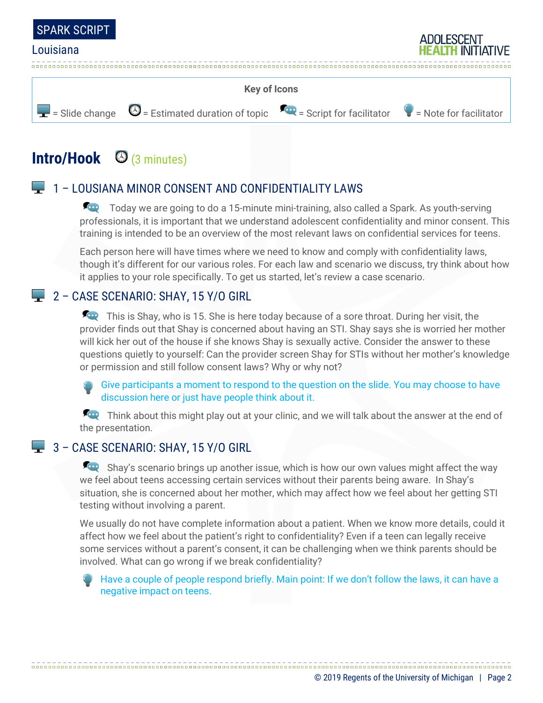



# **Intro/Hook** (3 minutes)

### **1** – LOUSIANA MINOR CONSENT AND CONFIDENTIALITY LAWS

Today we are going to do a 15-minute mini-training, also called a Spark. As youth-serving professionals, it is important that we understand adolescent confidentiality and minor consent. This training is intended to be an overview of the most relevant laws on confidential services for teens.

Each person here will have times where we need to know and comply with confidentiality laws, though it's different for our various roles. For each law and scenario we discuss, try think about how it applies to your role specifically. To get us started, let's review a case scenario.

### $2 - CASE SCENARIO: SHAY, 15 Y/O GIRL$

This is Shay, who is 15. She is here today because of a sore throat. During her visit, the provider finds out that Shay is concerned about having an STI. Shay says she is worried her mother will kick her out of the house if she knows Shay is sexually active. Consider the answer to these questions quietly to yourself: Can the provider screen Shay for STIs without her mother's knowledge or permission and still follow consent laws? Why or why not?

Give participants a moment to respond to the question on the slide. You may choose to have discussion here or just have people think about it.

Think about this might play out at your clinic, and we will talk about the answer at the end of the presentation.

#### 3 - CASE SCENARIO: SHAY, 15 Y/O GIRL

Shay's scenario brings up another issue, which is how our own values might affect the way we feel about teens accessing certain services without their parents being aware. In Shay's situation, she is concerned about her mother, which may affect how we feel about her getting STI testing without involving a parent.

We usually do not have complete information about a patient. When we know more details, could it affect how we feel about the patient's right to confidentiality? Even if a teen can legally receive some services without a parent's consent, it can be challenging when we think parents should be involved. What can go wrong if we break confidentiality?

Have a couple of people respond briefly. Main point: If we don't follow the laws, it can have a negative impact on teens.

© 2019 Regents of the University of Michigan | Page 2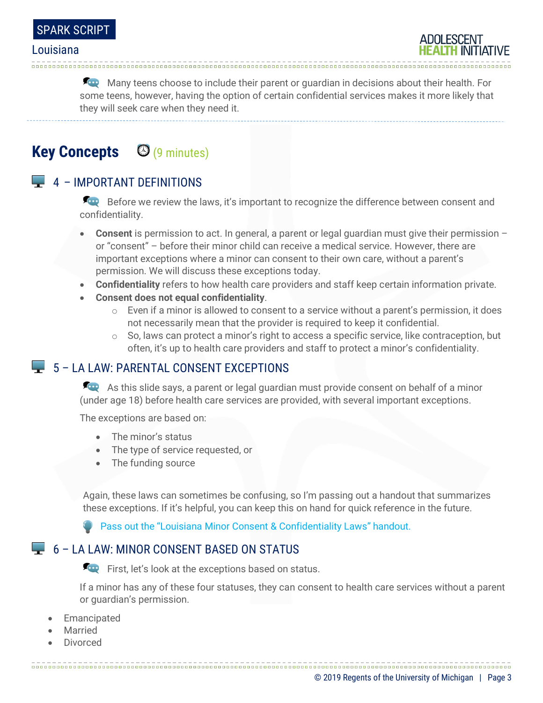

Many teens choose to include their parent or guardian in decisions about their health. For some teens, however, having the option of certain confidential services makes it more likely that they will seek care when they need it.

**Key Concepts** (9 minutes)

### $\Box$  4 – IMPORTANT DEFINITIONS

Before we review the laws, it's important to recognize the difference between consent and confidentiality.

- **Consent** is permission to act. In general, a parent or legal guardian must give their permission or "consent" – before their minor child can receive a medical service. However, there are important exceptions where a minor can consent to their own care, without a parent's permission. We will discuss these exceptions today.
- **Confidentiality** refers to how health care providers and staff keep certain information private.
- **Consent does not equal confidentiality**.
	- $\circ$  Even if a minor is allowed to consent to a service without a parent's permission, it does not necessarily mean that the provider is required to keep it confidential.
	- $\circ$  So, laws can protect a minor's right to access a specific service, like contraception, but often, it's up to health care providers and staff to protect a minor's confidentiality.

### $\Box$  5 – LA LAW: PARENTAL CONSENT EXCEPTIONS

As this slide says, a parent or legal guardian must provide consent on behalf of a minor (under age 18) before health care services are provided, with several important exceptions.

The exceptions are based on:

- The minor's status
- The type of service requested, or
- The funding source

Again, these laws can sometimes be confusing, so I'm passing out a handout that summarizes these exceptions. If it's helpful, you can keep this on hand for quick reference in the future.

Pass out the "Louisiana Minor Consent & Confidentiality Laws" handout.

#### 6 – LA LAW: MINOR CONSENT BASED ON STATUS

First, let's look at the exceptions based on status.

If a minor has any of these four statuses, they can consent to health care services without a parent or guardian's permission.

- **Emancipated**
- **Married**
- Divorced

© 2019 Regents of the University of Michigan | Page 3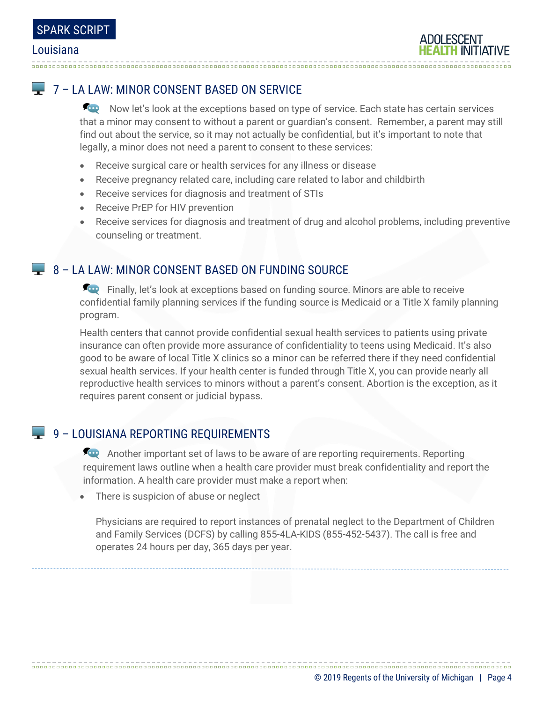## $\Box$  7 – LA LAW: MINOR CONSENT BASED ON SERVICE

Now let's look at the exceptions based on type of service. Each state has certain services that a minor may consent to without a parent or guardian's consent. Remember, a parent may still find out about the service, so it may not actually be confidential, but it's important to note that legally, a minor does not need a parent to consent to these services:

- Receive surgical care or health services for any illness or disease
- Receive pregnancy related care, including care related to labor and childbirth
- Receive services for diagnosis and treatment of STIs
- Receive PrEP for HIV prevention
- Receive services for diagnosis and treatment of drug and alcohol problems, including preventive counseling or treatment.

### **8 - LA LAW: MINOR CONSENT BASED ON FUNDING SOURCE**

**Finally, let's look at exceptions based on funding source. Minors are able to receive** confidential family planning services if the funding source is Medicaid or a Title X family planning program.

Health centers that cannot provide confidential sexual health services to patients using private insurance can often provide more assurance of confidentiality to teens using Medicaid. It's also good to be aware of local Title X clinics so a minor can be referred there if they need confidential sexual health services. If your health center is funded through Title X, you can provide nearly all reproductive health services to minors without a parent's consent. Abortion is the exception, as it requires parent consent or judicial bypass.

### 9 – LOUISIANA REPORTING REQUIREMENTS

Another important set of laws to be aware of are reporting requirements. Reporting requirement laws outline when a health care provider must break confidentiality and report the information. A health care provider must make a report when:

• There is suspicion of abuse or neglect

Physicians are required to report instances of prenatal neglect to the Department of Children and Family Services (DCFS) by calling 855-4LA-KIDS (855-452-5437). The call is free and operates 24 hours per day, 365 days per year.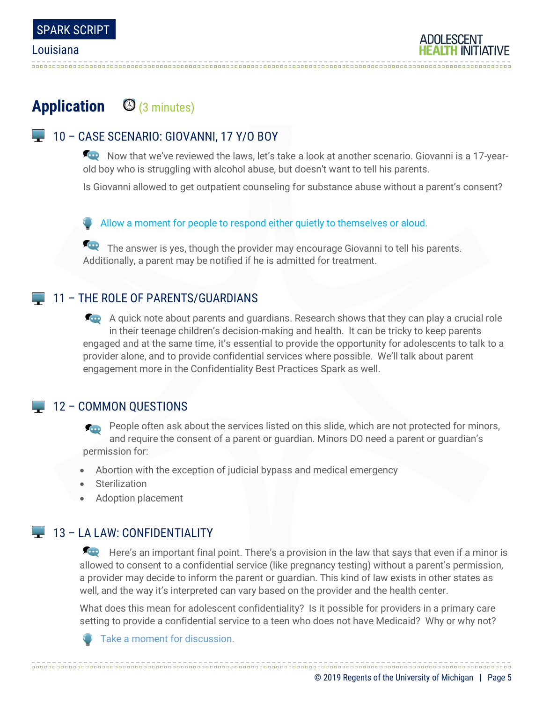

## Application **C** (3 minutes)

### 10 - CASE SCENARIO: GIOVANNI, 17 Y/O BOY

Now that we've reviewed the laws, let's take a look at another scenario. Giovanni is a 17-yearold boy who is struggling with alcohol abuse, but doesn't want to tell his parents.

Is Giovanni allowed to get outpatient counseling for substance abuse without a parent's consent?

Allow a moment for people to respond either quietly to themselves or aloud.

The answer is yes, though the provider may encourage Giovanni to tell his parents. Additionally, a parent may be notified if he is admitted for treatment.

#### 11 – THE ROLE OF PARENTS/GUARDIANS

A quick note about parents and guardians. Research shows that they can play a crucial role in their teenage children's decision-making and health. It can be tricky to keep parents engaged and at the same time, it's essential to provide the opportunity for adolescents to talk to a provider alone, and to provide confidential services where possible. We'll talk about parent engagement more in the Confidentiality Best Practices Spark as well.

### $\Box$  12 – COMMON OUESTIONS

People often ask about the services listed on this slide, which are not protected for minors, and require the consent of a parent or guardian. Minors DO need a parent or guardian's permission for:

- Abortion with the exception of judicial bypass and medical emergency
- Sterilization
- Adoption placement

## **13 - LA LAW: CONFIDENTIALITY**

Here's an important final point. There's a provision in the law that says that even if a minor is allowed to consent to a confidential service (like pregnancy testing) without a parent's permission, a provider may decide to inform the parent or guardian. This kind of law exists in other states as well, and the way it's interpreted can vary based on the provider and the health center.

What does this mean for adolescent confidentiality? Is it possible for providers in a primary care setting to provide a confidential service to a teen who does not have Medicaid? Why or why not?



Take a moment for discussion.